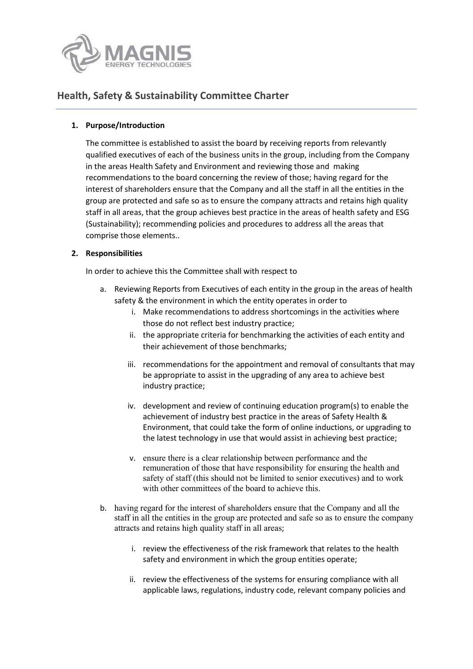

# **Health, Safety & Sustainability Committee Charter**

### **1. Purpose/Introduction**

The committee is established to assist the board by receiving reports from relevantly qualified executives of each of the business units in the group, including from the Company in the areas Health Safety and Environment and reviewing those and making recommendations to the board concerning the review of those; having regard for the interest of shareholders ensure that the Company and all the staff in all the entities in the group are protected and safe so as to ensure the company attracts and retains high quality staff in all areas, that the group achieves best practice in the areas of health safety and ESG (Sustainability); recommending policies and procedures to address all the areas that comprise those elements..

### **2. Responsibilities**

In order to achieve this the Committee shall with respect to

- a. Reviewing Reports from Executives of each entity in the group in the areas of health safety & the environment in which the entity operates in order to
	- i. Make recommendations to address shortcomings in the activities where those do not reflect best industry practice;
	- ii. the appropriate criteria for benchmarking the activities of each entity and their achievement of those benchmarks;
	- iii. recommendations for the appointment and removal of consultants that may be appropriate to assist in the upgrading of any area to achieve best industry practice;
	- iv. development and review of continuing education program(s) to enable the achievement of industry best practice in the areas of Safety Health & Environment, that could take the form of online inductions, or upgrading to the latest technology in use that would assist in achieving best practice;
	- v. ensure there is a clear relationship between performance and the remuneration of those that have responsibility for ensuring the health and safety of staff (this should not be limited to senior executives) and to work with other committees of the board to achieve this.
- b. having regard for the interest of shareholders ensure that the Company and all the staff in all the entities in the group are protected and safe so as to ensure the company attracts and retains high quality staff in all areas;
	- i. review the effectiveness of the risk framework that relates to the health safety and environment in which the group entities operate;
	- ii. review the effectiveness of the systems for ensuring compliance with all applicable laws, regulations, industry code, relevant company policies and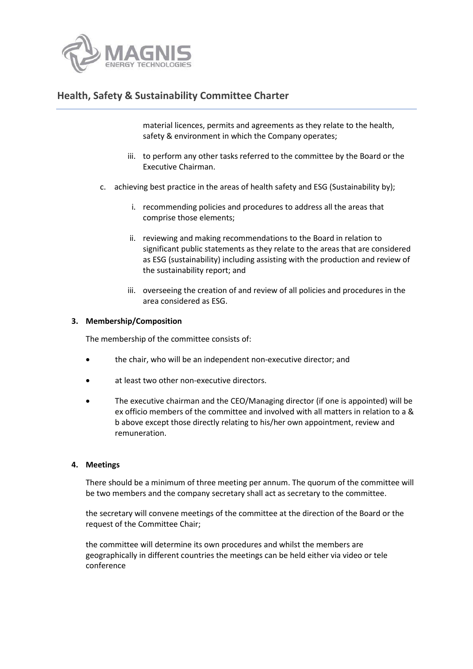

# **Health, Safety & Sustainability Committee Charter**

material licences, permits and agreements as they relate to the health, safety & environment in which the Company operates;

- iii. to perform any other tasks referred to the committee by the Board or the Executive Chairman.
- c. achieving best practice in the areas of health safety and ESG (Sustainability by);
	- i. recommending policies and procedures to address all the areas that comprise those elements;
	- ii. reviewing and making recommendations to the Board in relation to significant public statements as they relate to the areas that are considered as ESG (sustainability) including assisting with the production and review of the sustainability report; and
	- iii. overseeing the creation of and review of all policies and procedures in the area considered as ESG.

#### **3. Membership/Composition**

The membership of the committee consists of:

- the chair, who will be an independent non-executive director; and
- at least two other non-executive directors.
- The executive chairman and the CEO/Managing director (if one is appointed) will be ex officio members of the committee and involved with all matters in relation to a & b above except those directly relating to his/her own appointment, review and remuneration.

#### **4. Meetings**

There should be a minimum of three meeting per annum. The quorum of the committee will be two members and the company secretary shall act as secretary to the committee.

the secretary will convene meetings of the committee at the direction of the Board or the request of the Committee Chair;

the committee will determine its own procedures and whilst the members are geographically in different countries the meetings can be held either via video or tele conference